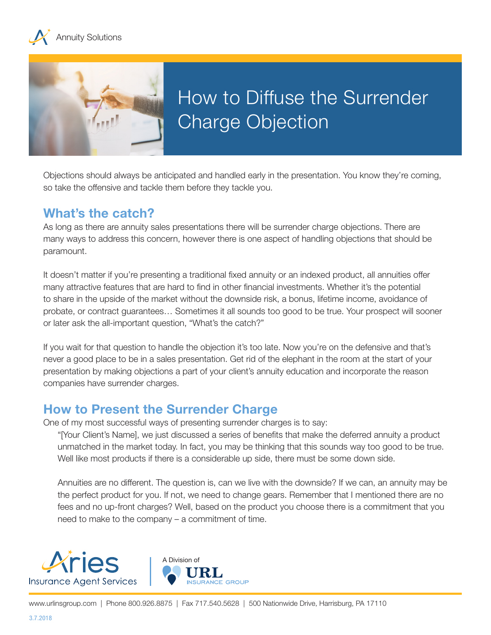



Objections should always be anticipated and handled early in the presentation. You know they're coming, so take the offensive and tackle them before they tackle you.

## **What's the catch?**

As long as there are annuity sales presentations there will be surrender charge objections. There are many ways to address this concern, however there is one aspect of handling objections that should be paramount.

It doesn't matter if you're presenting a traditional fixed annuity or an indexed product, all annuities offer many attractive features that are hard to find in other financial investments. Whether it's the potential to share in the upside of the market without the downside risk, a bonus, lifetime income, avoidance of probate, or contract guarantees… Sometimes it all sounds too good to be true. Your prospect will sooner or later ask the all-important question, "What's the catch?"

If you wait for that question to handle the objection it's too late. Now you're on the defensive and that's never a good place to be in a sales presentation. Get rid of the elephant in the room at the start of your presentation by making objections a part of your client's annuity education and incorporate the reason companies have surrender charges.

## **How to Present the Surrender Charge**

One of my most successful ways of presenting surrender charges is to say:

"[Your Client's Name], we just discussed a series of benefits that make the deferred annuity a product unmatched in the market today. In fact, you may be thinking that this sounds way too good to be true. Well like most products if there is a considerable up side, there must be some down side.

Annuities are no different. The question is, can we live with the downside? If we can, an annuity may be the perfect product for you. If not, we need to change gears. Remember that I mentioned there are no fees and no up-front charges? Well, based on the product you choose there is a commitment that you need to make to the company – a commitment of time.

**GROUP**